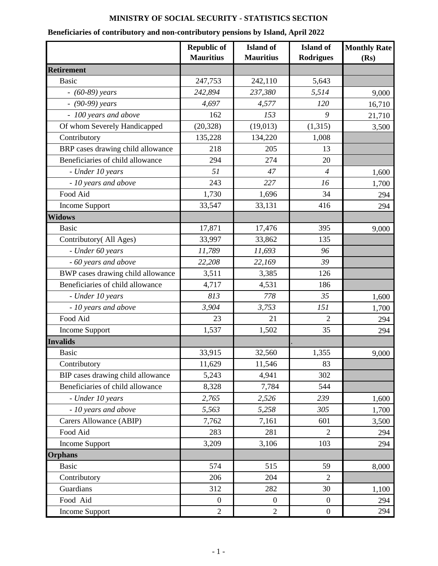## **MINISTRY OF SOCIAL SECURITY - STATISTICS SECTION**

## **Beneficiaries of contributory and non-contributory pensions by Island, April 2022**

|                                   | <b>Republic of</b><br><b>Mauritius</b> | <b>Island</b> of<br><b>Mauritius</b> | <b>Island</b> of<br><b>Rodrigues</b> | <b>Monthly Rate</b><br>(Rs) |
|-----------------------------------|----------------------------------------|--------------------------------------|--------------------------------------|-----------------------------|
| <b>Retirement</b>                 |                                        |                                      |                                      |                             |
| <b>Basic</b>                      | 247,753                                | 242,110                              | 5,643                                |                             |
| $- (60-89)$ years                 | 242,894                                | 237,380                              | 5,514                                | 9,000                       |
| $-$ (90-99) years                 | 4,697                                  | 4,577                                | 120                                  | 16,710                      |
| - 100 years and above             | 162                                    | 153                                  | 9                                    | 21,710                      |
| Of whom Severely Handicapped      | (20, 328)                              | (19, 013)                            | (1,315)                              | 3,500                       |
| Contributory                      | 135,228                                | 134,220                              | 1,008                                |                             |
| BRP cases drawing child allowance | 218                                    | 205                                  | 13                                   |                             |
| Beneficiaries of child allowance  | 294                                    | 274                                  | 20                                   |                             |
| - Under 10 years                  | 51                                     | 47                                   | $\overline{4}$                       | 1,600                       |
| - 10 years and above              | 243                                    | 227                                  | 16                                   | 1,700                       |
| Food Aid                          | 1,730                                  | 1,696                                | 34                                   | 294                         |
| Income Support                    | 33,547                                 | 33,131                               | 416                                  | 294                         |
| <b>Widows</b>                     |                                        |                                      |                                      |                             |
| <b>Basic</b>                      | 17,871                                 | 17,476                               | 395                                  | 9,000                       |
| Contributory (All Ages)           | 33,997                                 | 33,862                               | 135                                  |                             |
| - Under 60 years                  | 11,789                                 | 11,693                               | 96                                   |                             |
| - 60 years and above              | 22,208                                 | 22,169                               | 39                                   |                             |
| BWP cases drawing child allowance | 3,511                                  | 3,385                                | 126                                  |                             |
| Beneficiaries of child allowance  | 4,717                                  | 4,531                                | 186                                  |                             |
| - Under 10 years                  | 813                                    | 778                                  | 35                                   | 1,600                       |
| - 10 years and above              | 3,904                                  | 3,753                                | 151                                  | 1,700                       |
| Food Aid                          | 23                                     | 21                                   | 2                                    | 294                         |
| <b>Income Support</b>             | 1,537                                  | 1,502                                | 35                                   | 294                         |
| <b>Invalids</b>                   |                                        |                                      |                                      |                             |
| Basic                             | 33,915                                 | 32,560                               | 1,355                                | 9,000                       |
| Contributory                      | 11,629                                 | 11,546                               | 83                                   |                             |
| BIP cases drawing child allowance | 5,243                                  | 4,941                                | 302                                  |                             |
| Beneficiaries of child allowance  | 8,328                                  | 7,784                                | 544                                  |                             |
| - Under 10 years                  | 2,765                                  | 2,526                                | 239                                  | 1,600                       |
| - 10 years and above              | 5,563                                  | 5,258                                | 305                                  | 1,700                       |
| Carers Allowance (ABIP)           | 7,762                                  | 7,161                                | 601                                  | 3,500                       |
| Food Aid                          | 283                                    | 281                                  | $\overline{2}$                       | 294                         |
| Income Support                    | 3,209                                  | 3,106                                | 103                                  | 294                         |
| <b>Orphans</b>                    |                                        |                                      |                                      |                             |
| <b>Basic</b>                      | 574                                    | 515                                  | 59                                   | 8,000                       |
| Contributory                      | 206                                    | 204                                  | $\overline{2}$                       |                             |
| Guardians                         | 312                                    | 282                                  | 30                                   | 1,100                       |
| Food Aid                          | $\boldsymbol{0}$                       | $\boldsymbol{0}$                     | $\boldsymbol{0}$                     | 294                         |
| Income Support                    | $\overline{2}$                         | $\overline{2}$                       | $\boldsymbol{0}$                     | 294                         |